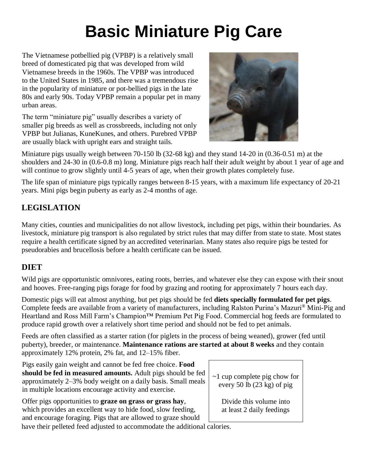# **Basic Miniature Pig Care**

The Vietnamese potbellied pig (VPBP) is a relatively small breed of domesticated pig that was developed from wild Vietnamese breeds in the 1960s. The VPBP was introduced to the United States in 1985, and there was a tremendous rise in the popularity of miniature or pot-bellied pigs in the late 80s and early 90s. Today VPBP remain a popular pet in many urban areas.

The term "miniature pig" usually describes a variety of smaller pig breeds as well as crossbreeds, including not only VPBP but Julianas, KuneKunes, and others. Purebred VPBP are usually black with upright ears and straight tails.



Miniature pigs usually weigh between 70-150 lb (32-68 kg) and they stand 14-20 in (0.36-0.51 m) at the shoulders and 24-30 in (0.6-0.8 m) long. Miniature pigs reach half their adult weight by about 1 year of age and will continue to grow slightly until 4-5 years of age, when their growth plates completely fuse.

The life span of miniature pigs typically ranges between 8-15 years, with a maximum life expectancy of 20-21 years. Mini pigs begin puberty as early as 2-4 months of age.

# **LEGISLATION**

Many cities, counties and municipalities do not allow livestock, including pet pigs, within their boundaries. As livestock, miniature pig transport is also regulated by strict rules that may differ from state to state. Most states require a health certificate signed by an accredited veterinarian. Many states also require pigs be tested for pseudorabies and brucellosis before a health certificate can be issued.

# **DIET**

Wild pigs are opportunistic omnivores, eating roots, berries, and whatever else they can expose with their snout and hooves. Free-ranging pigs forage for food by grazing and rooting for approximately 7 hours each day.

Domestic pigs will eat almost anything, but pet pigs should be fed **diets specially formulated for pet pigs**. Complete feeds are available from a variety of manufacturers, including Ralston Purina's Mazuri® Mini-Pig and Heartland and Ross Mill Farm's Champion™ Premium Pet Pig Food. Commercial hog feeds are formulated to produce rapid growth over a relatively short time period and should not be fed to pet animals.

Feeds are often classified as a starter ration (for piglets in the process of being weaned), grower (fed until puberty), breeder, or maintenance. **Maintenance rations are started at about 8 weeks** and they contain approximately 12% protein, 2% fat, and 12–15% fiber.

Pigs easily gain weight and cannot be fed free choice. **Food should be fed in measured amounts.** Adult pigs should be fed approximately 2–3% body weight on a daily basis. Small meals in multiple locations encourage activity and exercise.

Offer pigs opportunities to **graze on grass or grass hay**, which provides an excellent way to hide food, slow feeding, and encourage foraging. Pigs that are allowed to graze should have their pelleted feed adjusted to accommodate the additional calories.

~1 cup complete pig chow for every 50 lb (23 kg) of pig

> Divide this volume into at least 2 daily feedings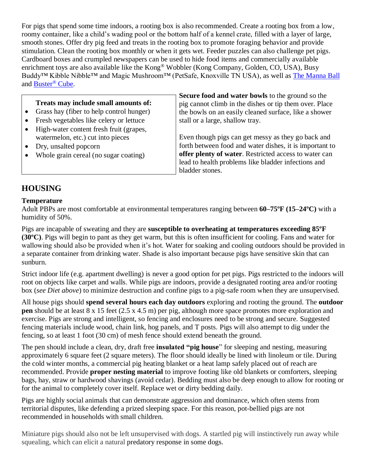For pigs that spend some time indoors, a rooting box is also recommended. Create a rooting box from a low, roomy container, like a child's wading pool or the bottom half of a kennel crate, filled with a layer of large, smooth stones. Offer dry pig feed and treats in the rooting box to promote foraging behavior and provide stimulation. Clean the rooting box monthly or when it gets wet. Feeder puzzles can also challenge pet pigs. Cardboard boxes and crumpled newspapers can be used to hide food items and commercially available enrichment toys are also available like the Kong® Wobbler (Kong Company, Golden, CO, USA), Busy Buddy™ Kibble Nibble™ and Magic Mushroom™ (PetSafe, Knoxville TN USA), as well as [The Manna Ball](http://www.pigs4ever.com/) and [Buster](https://www.kruuse.com/en.aspx)® Cube.

## **Treats may include small amounts of:**

- Grass hay (fiber to help control hunger)
- Fresh vegetables like celery or lettuce
- High-water content fresh fruit (grapes, watermelon, etc.) cut into pieces
- Dry, unsalted popcorn
- Whole grain cereal (no sugar coating)

**Secure food and water bowls** to the ground so the pig cannot climb in the dishes or tip them over. Place the bowls on an easily cleaned surface, like a shower stall or a large, shallow tray.

Even though pigs can get messy as they go back and forth between food and water dishes, it is important to **offer plenty of water**. Restricted access to water can lead to health problems like bladder infections and bladder stones.

## **HOUSING**

## **Temperature**

Adult PBPs are most comfortable at environmental temperatures ranging between **60–75ºF (15–24ºC)** with a humidity of 50%.

Pigs are incapable of sweating and they are **susceptible to overheating at temperatures exceeding 85ºF (30ºC)**. Pigs will begin to pant as they get warm, but this is often insufficient for cooling. Fans and water for wallowing should also be provided when it's hot. Water for soaking and cooling outdoors should be provided in a separate container from drinking water. Shade is also important because pigs have sensitive skin that can sunburn.

Strict indoor life (e.g. apartment dwelling) is never a good option for pet pigs. Pigs restricted to the indoors will root on objects like carpet and walls. While pigs are indoors, provide a designated rooting area and/or rooting box (*see Diet above*) to minimize destruction and confine pigs to a pig-safe room when they are unsupervised.

All house pigs should **spend several hours each day outdoors** exploring and rooting the ground. The **outdoor pen** should be at least 8 x 15 feet (2.5 x 4.5 m) per pig, although more space promotes more exploration and exercise. Pigs are strong and intelligent, so fencing and enclosures need to be strong and secure. Suggested fencing materials include wood, chain link, hog panels, and T posts. Pigs will also attempt to dig under the fencing, so at least 1 foot (30 cm) of mesh fence should extend beneath the ground.

The pen should include a clean, dry, draft free **insulated "pig house**" for sleeping and nesting, measuring approximately 6 square feet (2 square meters). The floor should ideally be lined with linoleum or tile. During the cold winter months, a commercial pig heating blanket or a heat lamp safely placed out of reach are recommended. Provide **proper nesting material** to improve footing like old blankets or comforters, sleeping bags, hay, straw or hardwood shavings (avoid cedar). Bedding must also be deep enough to allow for rooting or for the animal to completely cover itself. Replace wet or dirty bedding daily.

Pigs are highly social animals that can demonstrate aggression and dominance, which often stems from territorial disputes, like defending a prized sleeping space. For this reason, pot-bellied pigs are not recommended in households with small children.

Miniature pigs should also not be left unsupervised with dogs. A startled pig will instinctively run away while squealing, which can elicit a natural predatory response in some dogs.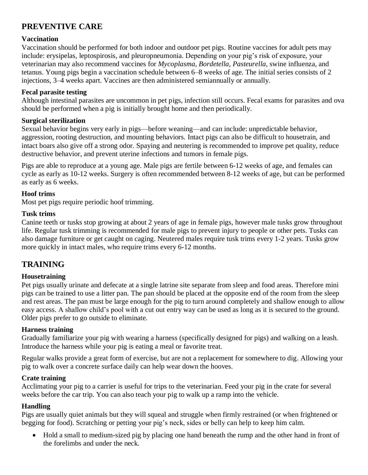# **PREVENTIVE CARE**

## **Vaccination**

Vaccination should be performed for both indoor and outdoor pet pigs. Routine vaccines for adult pets may include: erysipelas, leptospirosis, and pleuropneumonia. Depending on your pig's risk of exposure, your veterinarian may also recommend vaccines for *Mycoplasma*, *Bordetella*, *Pasteurella*, swine influenza, and tetanus. Young pigs begin a vaccination schedule between 6–8 weeks of age. The initial series consists of 2 injections, 3–4 weeks apart. Vaccines are then administered semiannually or annually.

## **Fecal parasite testing**

Although intestinal parasites are uncommon in pet pigs, infection still occurs. Fecal exams for parasites and ova should be performed when a pig is initially brought home and then periodically.

## **Surgical sterilization**

Sexual behavior begins very early in pigs—before weaning—and can include: unpredictable behavior, aggression, rooting destruction, and mounting behaviors. Intact pigs can also be difficult to housetrain, and intact boars also give off a strong odor. Spaying and neutering is recommended to improve pet quality, reduce destructive behavior, and prevent uterine infections and tumors in female pigs.

Pigs are able to reproduce at a young age. Male pigs are fertile between 6-12 weeks of age, and females can cycle as early as 10-12 weeks. Surgery is often recommended between 8-12 weeks of age, but can be performed as early as 6 weeks.

## **Hoof trims**

Most pet pigs require periodic hoof trimming.

## **Tusk trims**

Canine teeth or tusks stop growing at about 2 years of age in female pigs, however male tusks grow throughout life. Regular tusk trimming is recommended for male pigs to prevent injury to people or other pets. Tusks can also damage furniture or get caught on caging. Neutered males require tusk trims every 1-2 years. Tusks grow more quickly in intact males, who require trims every 6-12 months.

## **TRAINING**

## **Housetraining**

Pet pigs usually urinate and defecate at a single latrine site separate from sleep and food areas. Therefore mini pigs can be trained to use a litter pan. The pan should be placed at the opposite end of the room from the sleep and rest areas. The pan must be large enough for the pig to turn around completely and shallow enough to allow easy access. A shallow child's pool with a cut out entry way can be used as long as it is secured to the ground. Older pigs prefer to go outside to eliminate.

## **Harness training**

Gradually familiarize your pig with wearing a harness (specifically designed for pigs) and walking on a leash. Introduce the harness while your pig is eating a meal or favorite treat.

Regular walks provide a great form of exercise, but are not a replacement for somewhere to dig. Allowing your pig to walk over a concrete surface daily can help wear down the hooves.

#### **Crate training**

Acclimating your pig to a carrier is useful for trips to the veterinarian. Feed your pig in the crate for several weeks before the car trip. You can also teach your pig to walk up a ramp into the vehicle.

## **Handling**

Pigs are usually quiet animals but they will squeal and struggle when firmly restrained (or when frightened or begging for food). Scratching or petting your pig's neck, sides or belly can help to keep him calm.

• Hold a small to medium-sized pig by placing one hand beneath the rump and the other hand in front of the forelimbs and under the neck.